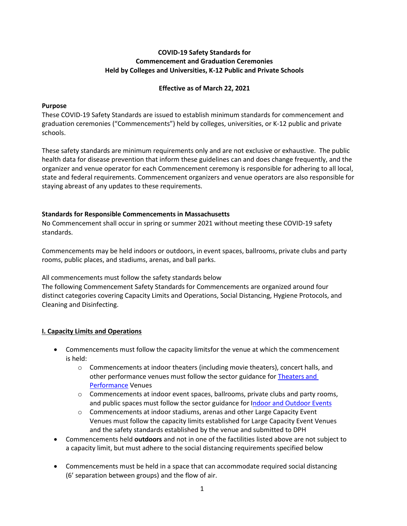## **COVID-19 Safety Standards for Commencement and Graduation Ceremonies Held by Colleges and Universities, K-12 Public and Private Schools**

## **Effective as of March 22, 2021**

## **Purpose**

These COVID-19 Safety Standards are issued to establish minimum standards for commencement and graduation ceremonies ("Commencements") held by colleges, universities, or K-12 public and private schools.

These safety standards are minimum requirements only and are not exclusive or exhaustive. The public health data for disease prevention that inform these guidelines can and does change frequently, and the organizer and venue operator for each Commencement ceremony is responsible for adhering to all local, state and federal requirements. Commencement organizers and venue operators are also responsible for staying abreast of any updates to these requirements.

## **Standards for Responsible Commencements in Massachusetts**

No Commencement shall occur in spring or summer 2021 without meeting these COVID-19 safety standards.

Commencements may be held indoors or outdoors, in event spaces, ballrooms, private clubs and party rooms, public places, and stadiums, arenas, and ball parks.

All commencements must follow the safety standards below

The following Commencement Safety Standards for Commencements are organized around four distinct categories covering Capacity Limits and Operations, Social Distancing, Hygiene Protocols, and Cleaning and Disinfecting.

# **I. Capacity Limits and Operations**

- Commencements must follow the capacity limitsfor the venue at which the commencement is held:
	- o Commencements at indoor theaters (including movie theaters), concert halls, and other performance venues must follow the sector guidance for [Theaters and](https://www.mass.gov/info-details/safety-standards-and-checklist-theaters-and-performance-venues)  [Performance](https://www.mass.gov/info-details/safety-standards-and-checklist-theaters-and-performance-venues) Venues
	- $\circ$  Commencements at indoor event spaces, ballrooms, private clubs and party rooms, and public spaces must follow the sector guidance for [Indoor and Outdoor Events](https://www.mass.gov/info-details/safety-standards-and-checklist-indoor-and-outdoor-events)
	- o Commencements at indoor stadiums, arenas and other Large Capacity Event Venues must follow the capacity limits established for Large Capacity Event Venues and the safety standards established by the venue and submitted to DPH
- Commencements held **outdoors** and not in one of the factilities listed above are not subject to a capacity limit, but must adhere to the social distancing requirements specified below
- Commencements must be held in a space that can accommodate required social distancing (6' separation between groups) and the flow of air.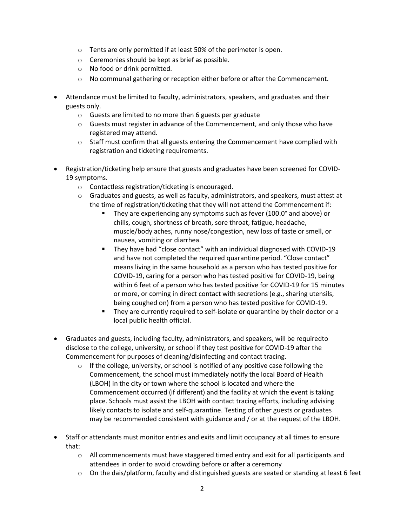- o Tents are only permitted if at least 50% of the perimeter is open.
- o Ceremonies should be kept as brief as possible.
- o No food or drink permitted.
- o No communal gathering or reception either before or after the Commencement.
- Attendance must be limited to faculty, administrators, speakers, and graduates and their guests only.
	- o Guests are limited to no more than 6 guests per graduate
	- o Guests must register in advance of the Commencement, and only those who have registered may attend.
	- $\circ$  Staff must confirm that all guests entering the Commencement have complied with registration and ticketing requirements.
- Registration/ticketing help ensure that guests and graduates have been screened for COVID-19 symptoms.
	- o Contactless registration/ticketing is encouraged.
	- $\circ$  Graduates and guests, as well as faculty, administrators, and speakers, must attest at the time of registration/ticketing that they will not attend the Commencement if:
		- They are experiencing any symptoms such as fever (100.0° and above) or chills, cough, shortness of breath, sore throat, fatigue, headache, muscle/body aches, runny nose/congestion, new loss of taste or smell, or nausea, vomiting or diarrhea.
		- They have had "close contact" with an individual diagnosed with COVID-19 and have not completed the required quarantine period. "Close contact" means living in the same household as a person who has tested positive for COVID-19, caring for a person who has tested positive for COVID-19, being within 6 feet of a person who has tested positive for COVID-19 for 15 minutes or more, or coming in direct contact with secretions (e.g., sharing utensils, being coughed on) from a person who has tested positive for COVID-19.
		- They are currently required to self-isolate or quarantine by their doctor or a local public health official.
- Graduates and guests, including faculty, administrators, and speakers, will be requiredto disclose to the college, university, or school if they test positive for COVID-19 after the Commencement for purposes of cleaning/disinfecting and contact tracing.
	- $\circ$  If the college, university, or school is notified of any positive case following the Commencement, the school must immediately notify the local Board of Health (LBOH) in the city or town where the school is located and where the Commencement occurred (if different) and the facility at which the event is taking place. Schools must assist the LBOH with contact tracing efforts, including advising likely contacts to isolate and self-quarantine. Testing of other guests or graduates may be recommended consistent with guidance and / or at the request of the LBOH.
- Staff or attendants must monitor entries and exits and limit occupancy at all times to ensure that:
	- o All commencements must have staggered timed entry and exit for all participants and attendees in order to avoid crowding before or after a ceremony
	- $\circ$  On the dais/platform, faculty and distinguished guests are seated or standing at least 6 feet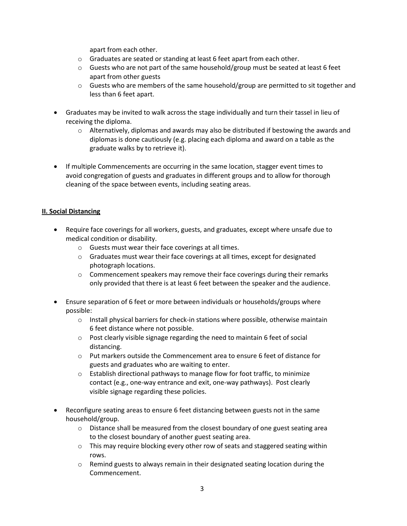apart from each other.

- o Graduates are seated or standing at least 6 feet apart from each other.
- $\circ$  Guests who are not part of the same household/group must be seated at least 6 feet apart from other guests
- $\circ$  Guests who are members of the same household/group are permitted to sit together and less than 6 feet apart.
- Graduates may be invited to walk across the stage individually and turn their tassel in lieu of receiving the diploma.
	- $\circ$  Alternatively, diplomas and awards may also be distributed if bestowing the awards and diplomas is done cautiously (e.g. placing each diploma and award on a table as the graduate walks by to retrieve it).
- If multiple Commencements are occurring in the same location, stagger event times to avoid congregation of guests and graduates in different groups and to allow for thorough cleaning of the space between events, including seating areas.

## **II. Social Distancing**

- Require face coverings for all workers, guests, and graduates, except where unsafe due to medical condition or disability.
	- o Guests must wear their face coverings at all times.
	- o Graduates must wear their face coverings at all times, except for designated photograph locations.
	- $\circ$  Commencement speakers may remove their face coverings during their remarks only provided that there is at least 6 feet between the speaker and the audience.
- Ensure separation of 6 feet or more between individuals or households/groups where possible:
	- o Install physical barriers for check-in stations where possible, otherwise maintain 6 feet distance where not possible.
	- $\circ$  Post clearly visible signage regarding the need to maintain 6 feet of social distancing.
	- o Put markers outside the Commencement area to ensure 6 feet of distance for guests and graduates who are waiting to enter.
	- $\circ$  Establish directional pathways to manage flow for foot traffic, to minimize contact (e.g., one-way entrance and exit, one-way pathways). Post clearly visible signage regarding these policies.
- Reconfigure seating areas to ensure 6 feet distancing between guests not in the same household/group.
	- $\circ$  Distance shall be measured from the closest boundary of one guest seating area to the closest boundary of another guest seating area.
	- $\circ$  This may require blocking every other row of seats and staggered seating within rows.
	- $\circ$  Remind guests to always remain in their designated seating location during the Commencement.